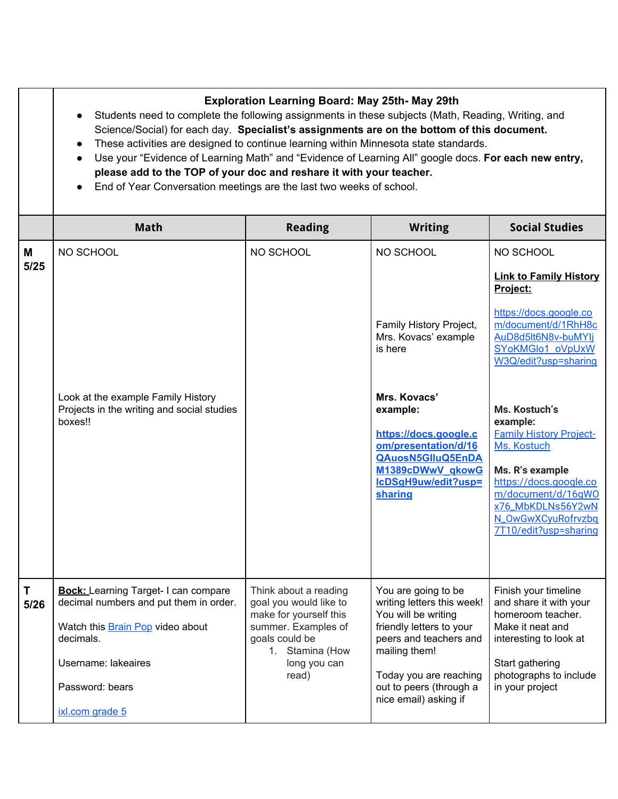**Exploration Learning Board: May 25th- May 29th**

- Students need to complete the following assignments in these subjects (Math, Reading, Writing, and Science/Social) for each day. **Specialist's assignments are on the bottom of this document.**
- These activities are designed to continue learning within Minnesota state standards.
- **●** Use your "Evidence of Learning Math" and "Evidence of Learning All" google docs. **For each new entry, please add to the TOP of your doc and reshare it with your teacher.**
- End of Year Conversation meetings are the last two weeks of school.

|           | <b>Math</b>                                                                                                                                                                                         | <b>Reading</b>                                                                                                                                                 | <b>Writing</b>                                                                                                                                                                                                                  | <b>Social Studies</b>                                                                                                                                                                                                                                                                                                                                                                           |
|-----------|-----------------------------------------------------------------------------------------------------------------------------------------------------------------------------------------------------|----------------------------------------------------------------------------------------------------------------------------------------------------------------|---------------------------------------------------------------------------------------------------------------------------------------------------------------------------------------------------------------------------------|-------------------------------------------------------------------------------------------------------------------------------------------------------------------------------------------------------------------------------------------------------------------------------------------------------------------------------------------------------------------------------------------------|
| M<br>5/25 | NO SCHOOL<br>Look at the example Family History<br>Projects in the writing and social studies<br>boxes!!                                                                                            | NO SCHOOL                                                                                                                                                      | NO SCHOOL<br>Family History Project,<br>Mrs. Kovacs' example<br>is here<br>Mrs. Kovacs'<br>example:<br>https://docs.google.c<br>om/presentation/d/16<br>QAuosN5GIIuQ5EnDA<br>M1389cDWwV gkowG<br>IcDSgH9uw/edit?usp=<br>sharing | NO SCHOOL<br><b>Link to Family History</b><br>Project:<br>https://docs.google.co<br>m/document/d/1RhH8c<br>AuD8d5lt6N8v-buMYlj<br>SYoKMGlo1 oVpUxW<br>W3Q/edit?usp=sharing<br>Ms. Kostuch's<br>example:<br><b>Family History Project-</b><br>Ms. Kostuch<br>Ms. R's example<br>https://docs.google.co<br>m/document/d/16qWO<br>x76_MbKDLNs56Y2wN<br>N_OwGwXCyuRofrvzbq<br>7T10/edit?usp=sharing |
| T<br>5/26 | <b>Bock:</b> Learning Target- I can compare<br>decimal numbers and put them in order.<br>Watch this Brain Pop video about<br>decimals.<br>Username: lakeaires<br>Password: bears<br>ixl.com grade 5 | Think about a reading<br>goal you would like to<br>make for yourself this<br>summer. Examples of<br>goals could be<br>1. Stamina (How<br>long you can<br>read) | You are going to be<br>writing letters this week!<br>You will be writing<br>friendly letters to your<br>peers and teachers and<br>mailing them!<br>Today you are reaching<br>out to peers (through a<br>nice email) asking if   | Finish your timeline<br>and share it with your<br>homeroom teacher.<br>Make it neat and<br>interesting to look at<br>Start gathering<br>photographs to include<br>in your project                                                                                                                                                                                                               |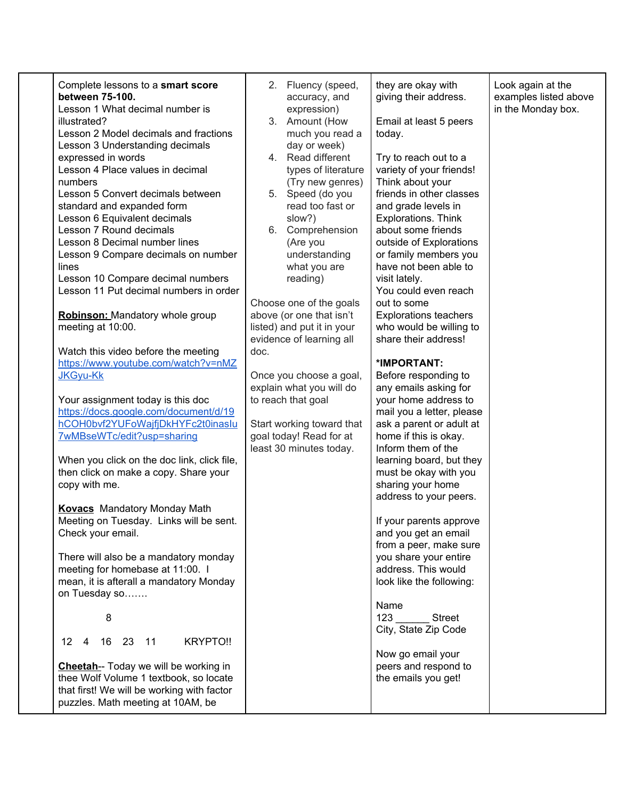| Complete lessons to a smart score<br>between 75-100.<br>Lesson 1 What decimal number is<br>illustrated?<br>Lesson 2 Model decimals and fractions<br>Lesson 3 Understanding decimals<br>expressed in words<br>Lesson 4 Place values in decimal<br>numbers<br>Lesson 5 Convert decimals between<br>standard and expanded form<br>Lesson 6 Equivalent decimals<br>Lesson 7 Round decimals<br>Lesson 8 Decimal number lines<br>Lesson 9 Compare decimals on number<br>lines<br>Lesson 10 Compare decimal numbers<br>Lesson 11 Put decimal numbers in order<br><b>Robinson:</b> Mandatory whole group<br>meeting at 10:00.<br>Watch this video before the meeting<br>https://www.youtube.com/watch?v=nMZ<br>JKGyu-Kk<br>Your assignment today is this doc<br>https://docs.google.com/document/d/19<br>hCOH0bvf2YUFoWajfjDkHYFc2t0inaslu<br>7wMBseWTc/edit?usp=sharing<br>When you click on the doc link, click file,<br>then click on make a copy. Share your<br>copy with me.<br><b>Kovacs</b> Mandatory Monday Math<br>Meeting on Tuesday. Links will be sent.<br>Check your email.<br>There will also be a mandatory monday<br>meeting for homebase at 11:00. I<br>mean, it is afterall a mandatory Monday<br>on Tuesday so<br>8<br>16 23 11<br>KRYPTO !!<br>12<br>4<br><b>Cheetah--</b> Today we will be working in<br>thee Wolf Volume 1 textbook, so locate<br>that first! We will be working with factor<br>puzzles. Math meeting at 10AM, be | 2. Fluency (speed,<br>accuracy, and<br>expression)<br>3. Amount (How<br>much you read a<br>day or week)<br>4. Read different<br>types of literature<br>(Try new genres)<br>5. Speed (do you<br>read too fast or<br>slow?)<br>6. Comprehension<br>(Are you<br>understanding<br>what you are<br>reading)<br>Choose one of the goals<br>above (or one that isn't<br>listed) and put it in your<br>evidence of learning all<br>doc.<br>Once you choose a goal,<br>explain what you will do<br>to reach that goal<br>Start working toward that<br>goal today! Read for at<br>least 30 minutes today. | they are okay with<br>giving their address.<br>Email at least 5 peers<br>today.<br>Try to reach out to a<br>variety of your friends!<br>Think about your<br>friends in other classes<br>and grade levels in<br>Explorations. Think<br>about some friends<br>outside of Explorations<br>or family members you<br>have not been able to<br>visit lately.<br>You could even reach<br>out to some<br><b>Explorations teachers</b><br>who would be willing to<br>share their address!<br>*IMPORTANT:<br>Before responding to<br>any emails asking for<br>your home address to<br>mail you a letter, please<br>ask a parent or adult at<br>home if this is okay.<br>Inform them of the<br>learning board, but they<br>must be okay with you<br>sharing your home<br>address to your peers.<br>If your parents approve<br>and you get an email<br>from a peer, make sure<br>you share your entire<br>address. This would<br>look like the following:<br>Name<br>123<br><b>Street</b><br>City, State Zip Code<br>Now go email your<br>peers and respond to<br>the emails you get! | Look again at the<br>examples listed above<br>in the Monday box. |
|-------------------------------------------------------------------------------------------------------------------------------------------------------------------------------------------------------------------------------------------------------------------------------------------------------------------------------------------------------------------------------------------------------------------------------------------------------------------------------------------------------------------------------------------------------------------------------------------------------------------------------------------------------------------------------------------------------------------------------------------------------------------------------------------------------------------------------------------------------------------------------------------------------------------------------------------------------------------------------------------------------------------------------------------------------------------------------------------------------------------------------------------------------------------------------------------------------------------------------------------------------------------------------------------------------------------------------------------------------------------------------------------------------------------------------------------------|-------------------------------------------------------------------------------------------------------------------------------------------------------------------------------------------------------------------------------------------------------------------------------------------------------------------------------------------------------------------------------------------------------------------------------------------------------------------------------------------------------------------------------------------------------------------------------------------------|---------------------------------------------------------------------------------------------------------------------------------------------------------------------------------------------------------------------------------------------------------------------------------------------------------------------------------------------------------------------------------------------------------------------------------------------------------------------------------------------------------------------------------------------------------------------------------------------------------------------------------------------------------------------------------------------------------------------------------------------------------------------------------------------------------------------------------------------------------------------------------------------------------------------------------------------------------------------------------------------------------------------------------------------------------------------------|------------------------------------------------------------------|
|-------------------------------------------------------------------------------------------------------------------------------------------------------------------------------------------------------------------------------------------------------------------------------------------------------------------------------------------------------------------------------------------------------------------------------------------------------------------------------------------------------------------------------------------------------------------------------------------------------------------------------------------------------------------------------------------------------------------------------------------------------------------------------------------------------------------------------------------------------------------------------------------------------------------------------------------------------------------------------------------------------------------------------------------------------------------------------------------------------------------------------------------------------------------------------------------------------------------------------------------------------------------------------------------------------------------------------------------------------------------------------------------------------------------------------------------------|-------------------------------------------------------------------------------------------------------------------------------------------------------------------------------------------------------------------------------------------------------------------------------------------------------------------------------------------------------------------------------------------------------------------------------------------------------------------------------------------------------------------------------------------------------------------------------------------------|---------------------------------------------------------------------------------------------------------------------------------------------------------------------------------------------------------------------------------------------------------------------------------------------------------------------------------------------------------------------------------------------------------------------------------------------------------------------------------------------------------------------------------------------------------------------------------------------------------------------------------------------------------------------------------------------------------------------------------------------------------------------------------------------------------------------------------------------------------------------------------------------------------------------------------------------------------------------------------------------------------------------------------------------------------------------------|------------------------------------------------------------------|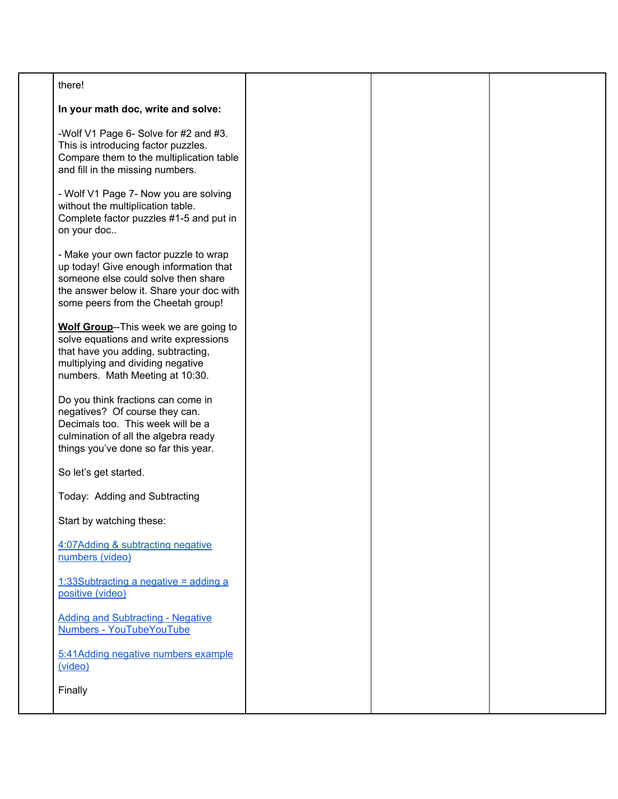| there!                                                                                                                                                                                                   |  |  |
|----------------------------------------------------------------------------------------------------------------------------------------------------------------------------------------------------------|--|--|
| In your math doc, write and solve:                                                                                                                                                                       |  |  |
| -Wolf V1 Page 6- Solve for #2 and #3.<br>This is introducing factor puzzles.<br>Compare them to the multiplication table<br>and fill in the missing numbers.                                             |  |  |
| - Wolf V1 Page 7- Now you are solving<br>without the multiplication table.<br>Complete factor puzzles #1-5 and put in<br>on your doc                                                                     |  |  |
| - Make your own factor puzzle to wrap<br>up today! Give enough information that<br>someone else could solve then share<br>the answer below it. Share your doc with<br>some peers from the Cheetah group! |  |  |
| Wolf Group--This week we are going to<br>solve equations and write expressions<br>that have you adding, subtracting,<br>multiplying and dividing negative<br>numbers. Math Meeting at 10:30.             |  |  |
| Do you think fractions can come in<br>negatives? Of course they can.<br>Decimals too. This week will be a<br>culmination of all the algebra ready<br>things you've done so far this year.                |  |  |
| So let's get started.                                                                                                                                                                                    |  |  |
| Today: Adding and Subtracting                                                                                                                                                                            |  |  |
| Start by watching these:                                                                                                                                                                                 |  |  |
| 4:07Adding & subtracting negative<br>numbers (video)                                                                                                                                                     |  |  |
| 1:33Subtracting a negative = $\alpha$ dding a<br>positive (video)                                                                                                                                        |  |  |
| <b>Adding and Subtracting - Negative</b><br>Numbers - YouTubeYouTube                                                                                                                                     |  |  |
| 5:41Adding negative numbers example<br>(video)                                                                                                                                                           |  |  |
| Finally                                                                                                                                                                                                  |  |  |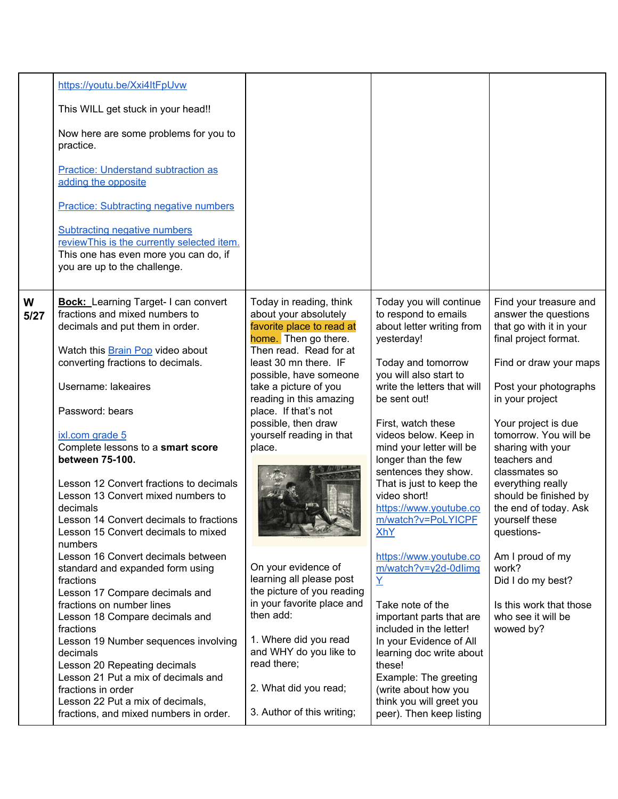|           | https://youtu.be/Xxi4ItFpUvw<br>This WILL get stuck in your head!!<br>Now here are some problems for you to<br>practice.<br><b>Practice: Understand subtraction as</b><br>adding the opposite<br><b>Practice: Subtracting negative numbers</b><br><b>Subtracting negative numbers</b><br>reviewThis is the currently selected item.<br>This one has even more you can do, if<br>you are up to the challenge.                                                                                                                                                                                                                                                                                                                                                                                                                                                                                                                                |                                                                                                                                                                                                                                                                                                                                                                                                                                                                                                                                                                                  |                                                                                                                                                                                                                                                                                                                                                                                                                                                                                                                                                                                                                                                                                                                                                        |                                                                                                                                                                                                                                                                                                                                                                                                                                                                                                       |
|-----------|---------------------------------------------------------------------------------------------------------------------------------------------------------------------------------------------------------------------------------------------------------------------------------------------------------------------------------------------------------------------------------------------------------------------------------------------------------------------------------------------------------------------------------------------------------------------------------------------------------------------------------------------------------------------------------------------------------------------------------------------------------------------------------------------------------------------------------------------------------------------------------------------------------------------------------------------|----------------------------------------------------------------------------------------------------------------------------------------------------------------------------------------------------------------------------------------------------------------------------------------------------------------------------------------------------------------------------------------------------------------------------------------------------------------------------------------------------------------------------------------------------------------------------------|--------------------------------------------------------------------------------------------------------------------------------------------------------------------------------------------------------------------------------------------------------------------------------------------------------------------------------------------------------------------------------------------------------------------------------------------------------------------------------------------------------------------------------------------------------------------------------------------------------------------------------------------------------------------------------------------------------------------------------------------------------|-------------------------------------------------------------------------------------------------------------------------------------------------------------------------------------------------------------------------------------------------------------------------------------------------------------------------------------------------------------------------------------------------------------------------------------------------------------------------------------------------------|
| W<br>5/27 | <b>Bock:</b> Learning Target-I can convert<br>fractions and mixed numbers to<br>decimals and put them in order.<br>Watch this Brain Pop video about<br>converting fractions to decimals.<br>Username: lakeaires<br>Password: bears<br>ixl.com grade 5<br>Complete lessons to a smart score<br>between 75-100.<br>Lesson 12 Convert fractions to decimals<br>Lesson 13 Convert mixed numbers to<br>decimals<br>Lesson 14 Convert decimals to fractions<br>Lesson 15 Convert decimals to mixed<br>numbers<br>Lesson 16 Convert decimals between<br>standard and expanded form using<br>fractions<br>Lesson 17 Compare decimals and<br>fractions on number lines<br>Lesson 18 Compare decimals and<br>fractions<br>Lesson 19 Number sequences involving<br>decimals<br>Lesson 20 Repeating decimals<br>Lesson 21 Put a mix of decimals and<br>fractions in order<br>Lesson 22 Put a mix of decimals,<br>fractions, and mixed numbers in order. | Today in reading, think<br>about your absolutely<br>favorite place to read at<br>home. Then go there.<br>Then read. Read for at<br>least 30 mn there. IF<br>possible, have someone<br>take a picture of you<br>reading in this amazing<br>place. If that's not<br>possible, then draw<br>yourself reading in that<br>place.<br>On your evidence of<br>learning all please post<br>the picture of you reading<br>in your favorite place and<br>then add:<br>1. Where did you read<br>and WHY do you like to<br>read there;<br>2. What did you read;<br>3. Author of this writing; | Today you will continue<br>to respond to emails<br>about letter writing from<br>yesterday!<br>Today and tomorrow<br>you will also start to<br>write the letters that will<br>be sent out!<br>First, watch these<br>videos below. Keep in<br>mind your letter will be<br>longer than the few<br>sentences they show.<br>That is just to keep the<br>video short!<br>https://www.youtube.co<br>m/watch?v=PoLYICPF<br><b>XhY</b><br>https://www.youtube.co<br>m/watch?v=y2d-0dlimg<br>$\overline{X}$<br>Take note of the<br>important parts that are<br>included in the letter!<br>In your Evidence of All<br>learning doc write about<br>these!<br>Example: The greeting<br>(write about how you<br>think you will greet you<br>peer). Then keep listing | Find your treasure and<br>answer the questions<br>that go with it in your<br>final project format.<br>Find or draw your maps<br>Post your photographs<br>in your project<br>Your project is due<br>tomorrow. You will be<br>sharing with your<br>teachers and<br>classmates so<br>everything really<br>should be finished by<br>the end of today. Ask<br>yourself these<br>questions-<br>Am I proud of my<br>work?<br>Did I do my best?<br>Is this work that those<br>who see it will be<br>wowed by? |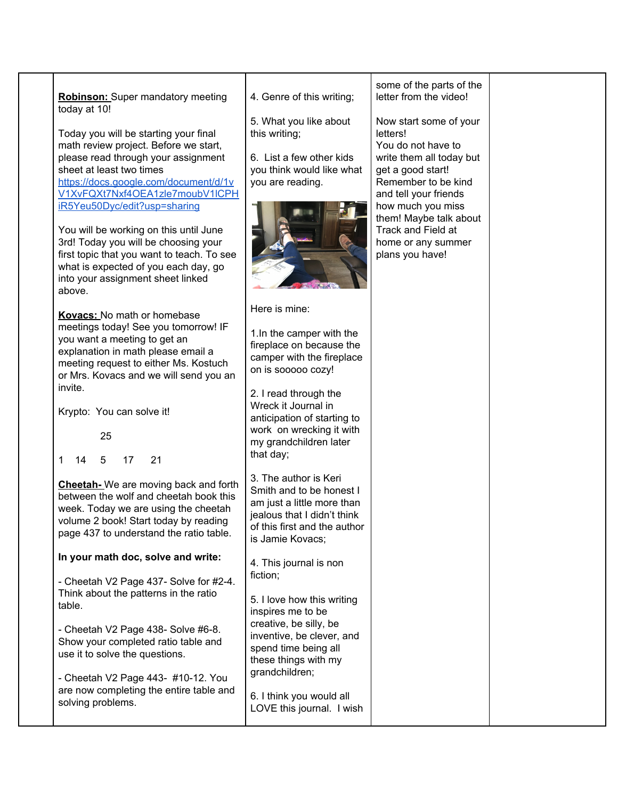**Robinson:** Super mandatory meeting today at 10!

Today you will be starting your final math review project. Before we start, please read through your assignment sheet at least two times [https://docs.google.com/document/d/1v](https://docs.google.com/document/d/1vV1XvFQXt7Nxf4OEA1zle7moubV1lCPHiR5Yeu50Dyc/edit?usp=sharing) [V1XvFQXt7Nxf4OEA1zle7moubV1lCPH](https://docs.google.com/document/d/1vV1XvFQXt7Nxf4OEA1zle7moubV1lCPHiR5Yeu50Dyc/edit?usp=sharing) [iR5Yeu50Dyc/edit?usp=sharing](https://docs.google.com/document/d/1vV1XvFQXt7Nxf4OEA1zle7moubV1lCPHiR5Yeu50Dyc/edit?usp=sharing)

You will be working on this until June 3rd! Today you will be choosing your first topic that you want to teach. To see what is expected of you each day, go into your assignment sheet linked above.

**Kovacs:** No math or homebase meetings today! See you tomorrow! IF you want a meeting to get an explanation in math please email a meeting request to either Ms. Kostuch or Mrs. Kovacs and we will send you an invite.

Krypto: You can solve it!

25

1 14 5 17 21

**Cheetah-** We are moving back and forth between the wolf and cheetah book this week. Today we are using the cheetah volume 2 book! Start today by reading page 437 to understand the ratio table.

## **In your math doc, solve and write:**

- Cheetah V2 Page 437- Solve for #2-4. Think about the patterns in the ratio table.

- Cheetah V2 Page 438- Solve #6-8. Show your completed ratio table and use it to solve the questions.

- Cheetah V2 Page 443- #10-12. You are now completing the entire table and solving problems.

4. Genre of this writing;

5. What you like about this writing;

6. List a few other kids you think would like what you are reading.



Here is mine:

1.In the camper with the fireplace on because the camper with the fireplace on is sooooo cozy!

2. I read through the Wreck it Journal in anticipation of starting to work on wrecking it with my grandchildren later that day;

3. The author is Keri Smith and to be honest I am just a little more than jealous that I didn't think of this first and the author is Jamie Kovacs;

4. This journal is non fiction;

5. I love how this writing inspires me to be creative, be silly, be inventive, be clever, and spend time being all these things with my grandchildren;

6. I think you would all LOVE this journal. I wish

some of the parts of the letter from the video!

Now start some of your letters! You do not have to write them all today but get a good start! Remember to be kind and tell your friends how much you miss them! Maybe talk about Track and Field at home or any summer plans you have!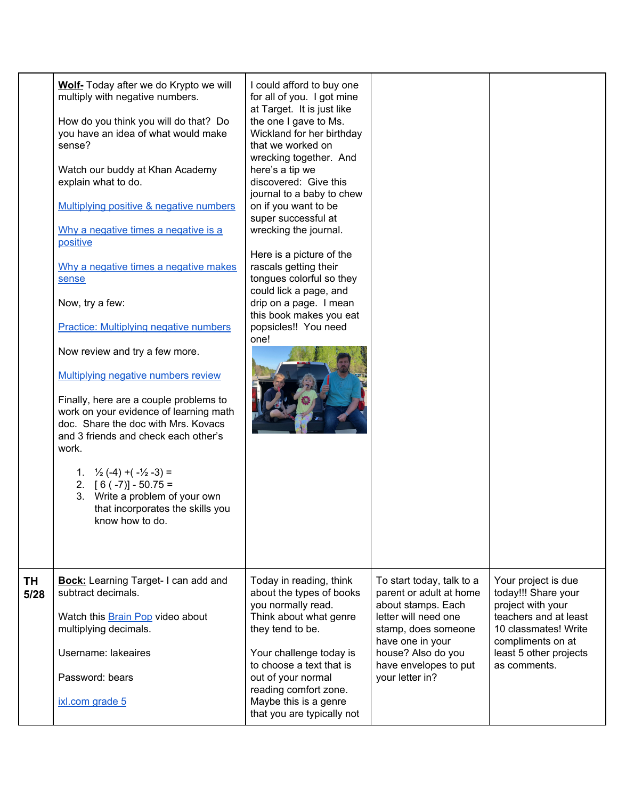|            | Wolf- Today after we do Krypto we will<br>multiply with negative numbers.<br>How do you think you will do that? Do<br>you have an idea of what would make<br>sense?<br>Watch our buddy at Khan Academy<br>explain what to do.<br>Multiplying positive & negative numbers<br>Why a negative times a negative is a<br>positive<br>Why a negative times a negative makes<br>sense<br>Now, try a few:<br><b>Practice: Multiplying negative numbers</b><br>Now review and try a few more.<br>Multiplying negative numbers review<br>Finally, here are a couple problems to<br>work on your evidence of learning math<br>doc. Share the doc with Mrs. Kovacs<br>and 3 friends and check each other's<br>work.<br>1. $\frac{1}{2}(-4) + (-\frac{1}{2} - 3) =$<br>2. $[6(-7)] - 50.75 =$<br>3. Write a problem of your own<br>that incorporates the skills you<br>know how to do. | I could afford to buy one<br>for all of you. I got mine<br>at Target. It is just like<br>the one I gave to Ms.<br>Wickland for her birthday<br>that we worked on<br>wrecking together. And<br>here's a tip we<br>discovered: Give this<br>journal to a baby to chew<br>on if you want to be<br>super successful at<br>wrecking the journal.<br>Here is a picture of the<br>rascals getting their<br>tongues colorful so they<br>could lick a page, and<br>drip on a page. I mean<br>this book makes you eat<br>popsicles!! You need<br>one! |                                                                                                                                                                                                                 |                                                                                                                                                                                 |
|------------|---------------------------------------------------------------------------------------------------------------------------------------------------------------------------------------------------------------------------------------------------------------------------------------------------------------------------------------------------------------------------------------------------------------------------------------------------------------------------------------------------------------------------------------------------------------------------------------------------------------------------------------------------------------------------------------------------------------------------------------------------------------------------------------------------------------------------------------------------------------------------|---------------------------------------------------------------------------------------------------------------------------------------------------------------------------------------------------------------------------------------------------------------------------------------------------------------------------------------------------------------------------------------------------------------------------------------------------------------------------------------------------------------------------------------------|-----------------------------------------------------------------------------------------------------------------------------------------------------------------------------------------------------------------|---------------------------------------------------------------------------------------------------------------------------------------------------------------------------------|
| TH<br>5/28 | <b>Bock:</b> Learning Target-I can add and<br>subtract decimals.<br>Watch this <b>Brain Pop</b> video about<br>multiplying decimals.<br>Username: lakeaires<br>Password: bears<br>ixl.com grade 5                                                                                                                                                                                                                                                                                                                                                                                                                                                                                                                                                                                                                                                                         | Today in reading, think<br>about the types of books<br>you normally read.<br>Think about what genre<br>they tend to be.<br>Your challenge today is<br>to choose a text that is<br>out of your normal<br>reading comfort zone.<br>Maybe this is a genre<br>that you are typically not                                                                                                                                                                                                                                                        | To start today, talk to a<br>parent or adult at home<br>about stamps. Each<br>letter will need one<br>stamp, does someone<br>have one in your<br>house? Also do you<br>have envelopes to put<br>your letter in? | Your project is due<br>today!!! Share your<br>project with your<br>teachers and at least<br>10 classmates! Write<br>compliments on at<br>least 5 other projects<br>as comments. |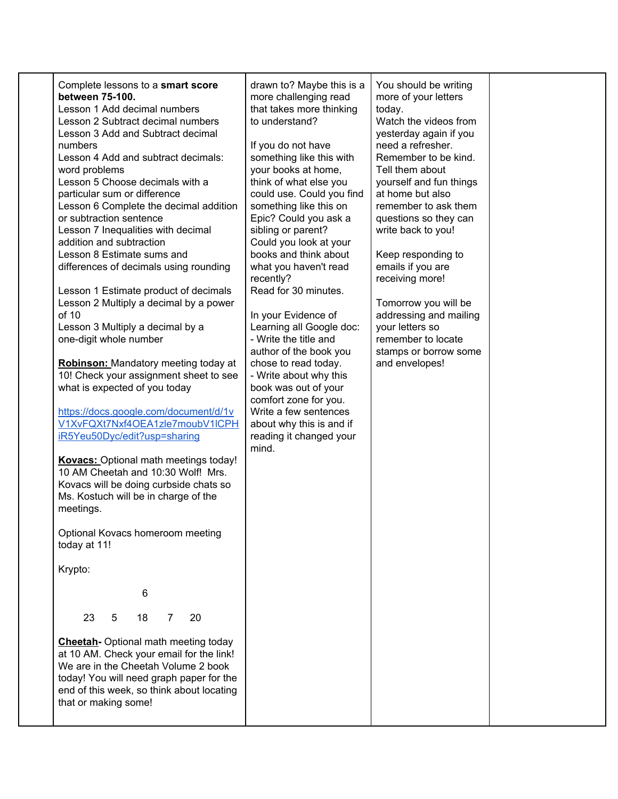| Complete lessons to a smart score<br>between 75-100.<br>Lesson 1 Add decimal numbers<br>Lesson 2 Subtract decimal numbers<br>Lesson 3 Add and Subtract decimal<br>numbers<br>Lesson 4 Add and subtract decimals:<br>word problems<br>Lesson 5 Choose decimals with a<br>particular sum or difference<br>Lesson 6 Complete the decimal addition<br>or subtraction sentence<br>Lesson 7 Inequalities with decimal<br>addition and subtraction<br>Lesson 8 Estimate sums and<br>differences of decimals using rounding<br>Lesson 1 Estimate product of decimals<br>Lesson 2 Multiply a decimal by a power<br>of $10$<br>Lesson 3 Multiply a decimal by a<br>one-digit whole number<br><b>Robinson:</b> Mandatory meeting today at<br>10! Check your assignment sheet to see<br>what is expected of you today<br>https://docs.google.com/document/d/1v<br>V1XvFQXt7Nxf4OEA1zle7moubV1lCPH<br>iR5Yeu50Dyc/edit?usp=sharing<br><b>Kovacs:</b> Optional math meetings today!<br>10 AM Cheetah and 10:30 Wolf! Mrs.<br>Kovacs will be doing curbside chats so<br>Ms. Kostuch will be in charge of the<br>meetings.<br>Optional Kovacs homeroom meeting<br>today at 11!<br>Krypto:<br>6<br>23<br>18<br>20<br>5<br>$\overline{7}$<br><b>Cheetah-</b> Optional math meeting today<br>at 10 AM. Check your email for the link!<br>We are in the Cheetah Volume 2 book<br>today! You will need graph paper for the<br>end of this week, so think about locating<br>that or making some! | drawn to? Maybe this is a<br>more challenging read<br>that takes more thinking<br>to understand?<br>If you do not have<br>something like this with<br>your books at home,<br>think of what else you<br>could use. Could you find<br>something like this on<br>Epic? Could you ask a<br>sibling or parent?<br>Could you look at your<br>books and think about<br>what you haven't read<br>recently?<br>Read for 30 minutes.<br>In your Evidence of<br>Learning all Google doc:<br>- Write the title and<br>author of the book you<br>chose to read today.<br>- Write about why this<br>book was out of your<br>comfort zone for you.<br>Write a few sentences<br>about why this is and if<br>reading it changed your<br>mind. | You should be writing<br>more of your letters<br>today.<br>Watch the videos from<br>yesterday again if you<br>need a refresher.<br>Remember to be kind.<br>Tell them about<br>yourself and fun things<br>at home but also<br>remember to ask them<br>questions so they can<br>write back to you!<br>Keep responding to<br>emails if you are<br>receiving more!<br>Tomorrow you will be<br>addressing and mailing<br>your letters so<br>remember to locate<br>stamps or borrow some<br>and envelopes! |  |
|----------------------------------------------------------------------------------------------------------------------------------------------------------------------------------------------------------------------------------------------------------------------------------------------------------------------------------------------------------------------------------------------------------------------------------------------------------------------------------------------------------------------------------------------------------------------------------------------------------------------------------------------------------------------------------------------------------------------------------------------------------------------------------------------------------------------------------------------------------------------------------------------------------------------------------------------------------------------------------------------------------------------------------------------------------------------------------------------------------------------------------------------------------------------------------------------------------------------------------------------------------------------------------------------------------------------------------------------------------------------------------------------------------------------------------------------------------------------------|------------------------------------------------------------------------------------------------------------------------------------------------------------------------------------------------------------------------------------------------------------------------------------------------------------------------------------------------------------------------------------------------------------------------------------------------------------------------------------------------------------------------------------------------------------------------------------------------------------------------------------------------------------------------------------------------------------------------------|------------------------------------------------------------------------------------------------------------------------------------------------------------------------------------------------------------------------------------------------------------------------------------------------------------------------------------------------------------------------------------------------------------------------------------------------------------------------------------------------------|--|
|----------------------------------------------------------------------------------------------------------------------------------------------------------------------------------------------------------------------------------------------------------------------------------------------------------------------------------------------------------------------------------------------------------------------------------------------------------------------------------------------------------------------------------------------------------------------------------------------------------------------------------------------------------------------------------------------------------------------------------------------------------------------------------------------------------------------------------------------------------------------------------------------------------------------------------------------------------------------------------------------------------------------------------------------------------------------------------------------------------------------------------------------------------------------------------------------------------------------------------------------------------------------------------------------------------------------------------------------------------------------------------------------------------------------------------------------------------------------------|------------------------------------------------------------------------------------------------------------------------------------------------------------------------------------------------------------------------------------------------------------------------------------------------------------------------------------------------------------------------------------------------------------------------------------------------------------------------------------------------------------------------------------------------------------------------------------------------------------------------------------------------------------------------------------------------------------------------------|------------------------------------------------------------------------------------------------------------------------------------------------------------------------------------------------------------------------------------------------------------------------------------------------------------------------------------------------------------------------------------------------------------------------------------------------------------------------------------------------------|--|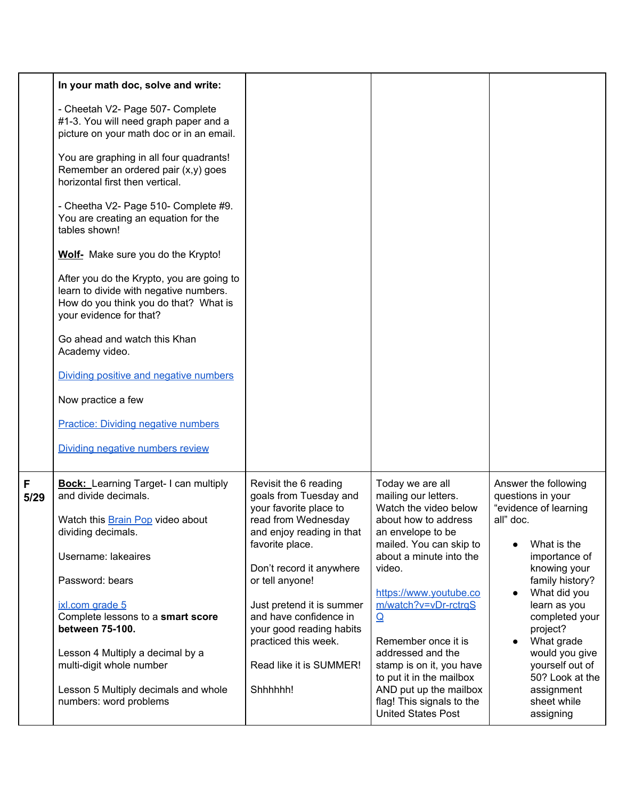|           | In your math doc, solve and write:                                                                                                                      |                                                                           |                                                                                  |                                                                    |
|-----------|---------------------------------------------------------------------------------------------------------------------------------------------------------|---------------------------------------------------------------------------|----------------------------------------------------------------------------------|--------------------------------------------------------------------|
|           | - Cheetah V2- Page 507- Complete<br>#1-3. You will need graph paper and a<br>picture on your math doc or in an email.                                   |                                                                           |                                                                                  |                                                                    |
|           | You are graphing in all four quadrants!<br>Remember an ordered pair (x,y) goes<br>horizontal first then vertical.                                       |                                                                           |                                                                                  |                                                                    |
|           | - Cheetha V2- Page 510- Complete #9.<br>You are creating an equation for the<br>tables shown!                                                           |                                                                           |                                                                                  |                                                                    |
|           | Wolf- Make sure you do the Krypto!                                                                                                                      |                                                                           |                                                                                  |                                                                    |
|           | After you do the Krypto, you are going to<br>learn to divide with negative numbers.<br>How do you think you do that? What is<br>your evidence for that? |                                                                           |                                                                                  |                                                                    |
|           | Go ahead and watch this Khan<br>Academy video.                                                                                                          |                                                                           |                                                                                  |                                                                    |
|           | Dividing positive and negative numbers                                                                                                                  |                                                                           |                                                                                  |                                                                    |
|           | Now practice a few                                                                                                                                      |                                                                           |                                                                                  |                                                                    |
|           | <b>Practice: Dividing negative numbers</b>                                                                                                              |                                                                           |                                                                                  |                                                                    |
|           | Dividing negative numbers review                                                                                                                        |                                                                           |                                                                                  |                                                                    |
| F<br>5/29 | <b>Bock:</b> Learning Target-I can multiply<br>and divide decimals.                                                                                     | Revisit the 6 reading<br>goals from Tuesday and<br>your favorite place to | Today we are all<br>mailing our letters.<br>Watch the video below                | Answer the following<br>questions in your<br>"evidence of learning |
|           | Watch this Brain Pop video about<br>dividing decimals.                                                                                                  | read from Wednesday<br>and enjoy reading in that                          | about how to address<br>an envelope to be                                        | all" doc.                                                          |
|           | Username: lakeaires                                                                                                                                     | favorite place.                                                           | mailed. You can skip to<br>about a minute into the                               | What is the<br>importance of                                       |
|           | Password: bears                                                                                                                                         | Don't record it anywhere<br>or tell anyone!                               | video.<br>https://www.youtube.co                                                 | knowing your<br>family history?<br>What did you                    |
|           | ixl.com grade 5                                                                                                                                         | Just pretend it is summer                                                 | m/watch?v=vDr-rctrqS                                                             | learn as you                                                       |
|           | Complete lessons to a smart score<br>between 75-100.                                                                                                    | and have confidence in<br>your good reading habits                        | $\Omega$                                                                         | completed your<br>project?                                         |
|           | Lesson 4 Multiply a decimal by a                                                                                                                        | practiced this week.                                                      | Remember once it is<br>addressed and the                                         | What grade<br>would you give                                       |
|           | multi-digit whole number                                                                                                                                | Read like it is SUMMER!                                                   | stamp is on it, you have<br>to put it in the mailbox                             | yourself out of<br>50? Look at the                                 |
|           | Lesson 5 Multiply decimals and whole<br>numbers: word problems                                                                                          | Shhhhhh!                                                                  | AND put up the mailbox<br>flag! This signals to the<br><b>United States Post</b> | assignment<br>sheet while<br>assigning                             |
|           |                                                                                                                                                         |                                                                           |                                                                                  |                                                                    |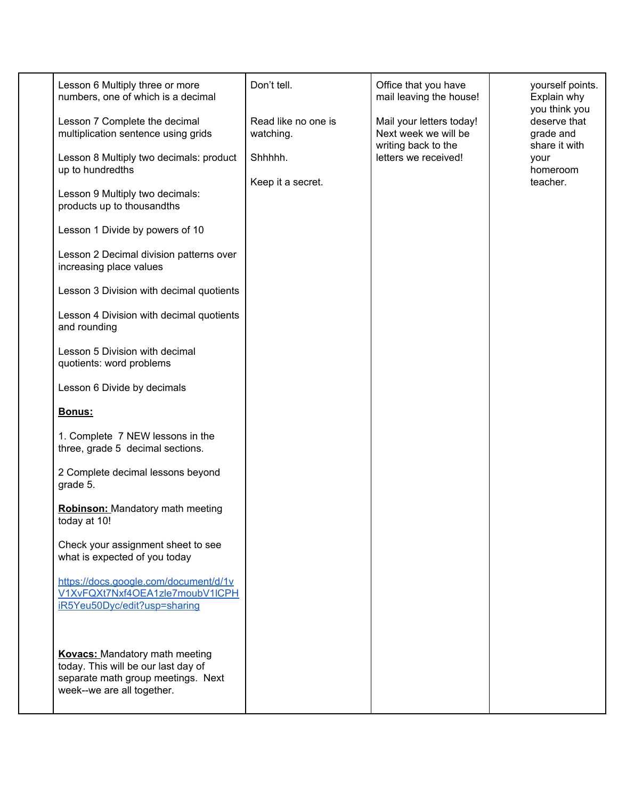| Lesson 6 Multiply three or more<br>numbers, one of which is a decimal<br>Lesson 7 Complete the decimal<br>multiplication sentence using grids<br>Lesson 8 Multiply two decimals: product<br>up to hundredths<br>Lesson 9 Multiply two decimals:<br>products up to thousandths<br>Lesson 1 Divide by powers of 10<br>Lesson 2 Decimal division patterns over<br>increasing place values<br>Lesson 3 Division with decimal quotients<br>Lesson 4 Division with decimal quotients<br>and rounding<br>Lesson 5 Division with decimal<br>quotients: word problems<br>Lesson 6 Divide by decimals<br>Bonus:<br>1. Complete 7 NEW lessons in the<br>three, grade 5 decimal sections.<br>2 Complete decimal lessons beyond<br>grade 5.<br><b>Robinson:</b> Mandatory math meeting<br>today at 10!<br>Check your assignment sheet to see<br>what is expected of you today | Don't tell.<br>Read like no one is<br>watching.<br>Shhhhh.<br>Keep it a secret. | Office that you have<br>mail leaving the house!<br>Mail your letters today!<br>Next week we will be<br>writing back to the<br>letters we received! | yourself points.<br>Explain why<br>you think you<br>deserve that<br>grade and<br>share it with<br>your<br>homeroom<br>teacher. |
|------------------------------------------------------------------------------------------------------------------------------------------------------------------------------------------------------------------------------------------------------------------------------------------------------------------------------------------------------------------------------------------------------------------------------------------------------------------------------------------------------------------------------------------------------------------------------------------------------------------------------------------------------------------------------------------------------------------------------------------------------------------------------------------------------------------------------------------------------------------|---------------------------------------------------------------------------------|----------------------------------------------------------------------------------------------------------------------------------------------------|--------------------------------------------------------------------------------------------------------------------------------|
|                                                                                                                                                                                                                                                                                                                                                                                                                                                                                                                                                                                                                                                                                                                                                                                                                                                                  |                                                                                 |                                                                                                                                                    |                                                                                                                                |
| https://docs.google.com/document/d/1v<br>V1XvFQXt7Nxf4OEA1zle7moubV1lCPH<br>iR5Yeu50Dyc/edit?usp=sharing                                                                                                                                                                                                                                                                                                                                                                                                                                                                                                                                                                                                                                                                                                                                                         |                                                                                 |                                                                                                                                                    |                                                                                                                                |
| <b>Kovacs:</b> Mandatory math meeting<br>today. This will be our last day of<br>separate math group meetings. Next<br>week--we are all together.                                                                                                                                                                                                                                                                                                                                                                                                                                                                                                                                                                                                                                                                                                                 |                                                                                 |                                                                                                                                                    |                                                                                                                                |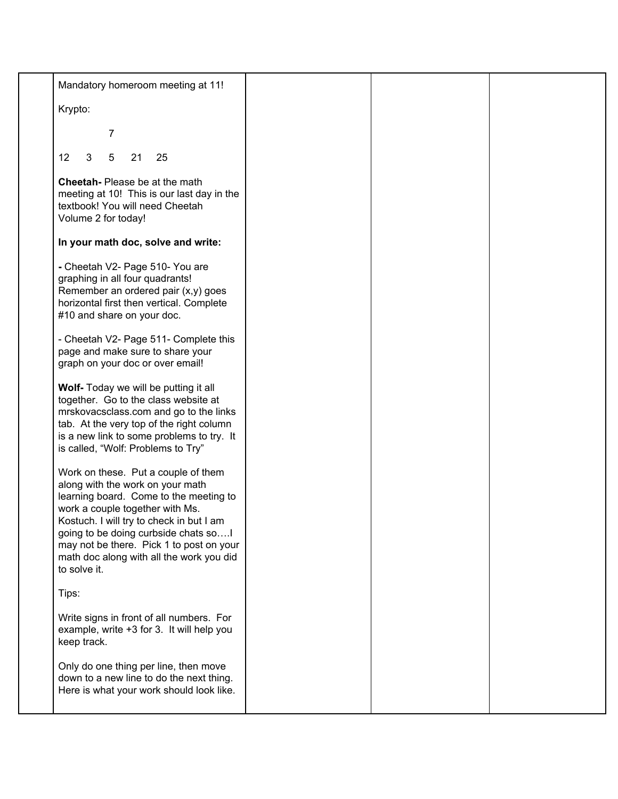| Mandatory homeroom meeting at 11!                                                                                                                                                                                                                                                                                                               |  |  |
|-------------------------------------------------------------------------------------------------------------------------------------------------------------------------------------------------------------------------------------------------------------------------------------------------------------------------------------------------|--|--|
| Krypto:                                                                                                                                                                                                                                                                                                                                         |  |  |
| 7                                                                                                                                                                                                                                                                                                                                               |  |  |
| 3<br>12<br>5<br>21<br>25                                                                                                                                                                                                                                                                                                                        |  |  |
| Cheetah- Please be at the math<br>meeting at 10! This is our last day in the<br>textbook! You will need Cheetah<br>Volume 2 for today!                                                                                                                                                                                                          |  |  |
| In your math doc, solve and write:                                                                                                                                                                                                                                                                                                              |  |  |
| - Cheetah V2- Page 510- You are<br>graphing in all four quadrants!<br>Remember an ordered pair (x,y) goes<br>horizontal first then vertical. Complete<br>#10 and share on your doc.                                                                                                                                                             |  |  |
| - Cheetah V2- Page 511- Complete this<br>page and make sure to share your<br>graph on your doc or over email!                                                                                                                                                                                                                                   |  |  |
| Wolf- Today we will be putting it all<br>together. Go to the class website at<br>mrskovacsclass.com and go to the links<br>tab. At the very top of the right column<br>is a new link to some problems to try. It<br>is called, "Wolf: Problems to Try"                                                                                          |  |  |
| Work on these. Put a couple of them<br>along with the work on your math<br>learning board. Come to the meeting to<br>work a couple together with Ms.<br>Kostuch. I will try to check in but I am<br>going to be doing curbside chats so<br>may not be there. Pick 1 to post on your<br>math doc along with all the work you did<br>to solve it. |  |  |
| Tips:                                                                                                                                                                                                                                                                                                                                           |  |  |
| Write signs in front of all numbers. For<br>example, write +3 for 3. It will help you<br>keep track.                                                                                                                                                                                                                                            |  |  |
| Only do one thing per line, then move<br>down to a new line to do the next thing.<br>Here is what your work should look like.                                                                                                                                                                                                                   |  |  |